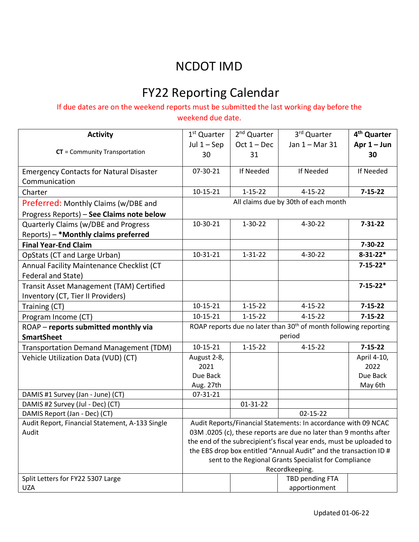## NCDOT IMD

# FY22 Reporting Calendar

### If due dates are on the weekend reports must be submitted the last working day before the

weekend due date.

| <b>Activity</b>                                 | 1 <sup>st</sup> Quarter                                                      | 2 <sup>nd</sup> Quarter | 3rd Quarter                      | 4 <sup>th</sup> Quarter |  |
|-------------------------------------------------|------------------------------------------------------------------------------|-------------------------|----------------------------------|-------------------------|--|
|                                                 | Jul $1 -$ Sep                                                                | $Oct 1 - Dec$           | Jan 1 - Mar 31                   | Apr $1 -$ Jun           |  |
| CT = Community Transportation                   | 30                                                                           | 31                      |                                  | 30                      |  |
| <b>Emergency Contacts for Natural Disaster</b>  | 07-30-21                                                                     | If Needed               | If Needed                        | If Needed               |  |
| Communication                                   |                                                                              |                         |                                  |                         |  |
| Charter                                         | $10 - 15 - 21$                                                               | $1 - 15 - 22$           | $4 - 15 - 22$                    | $7 - 15 - 22$           |  |
| Preferred: Monthly Claims (w/DBE and            | All claims due by 30th of each month                                         |                         |                                  |                         |  |
| Progress Reports) - See Claims note below       |                                                                              |                         |                                  |                         |  |
| Quarterly Claims (w/DBE and Progress            | 10-30-21                                                                     | $1 - 30 - 22$           | $4 - 30 - 22$                    | $7 - 31 - 22$           |  |
| Reports) - * Monthly claims preferred           |                                                                              |                         |                                  |                         |  |
| <b>Final Year-End Claim</b>                     |                                                                              |                         |                                  | $7 - 30 - 22$           |  |
| OpStats (CT and Large Urban)                    | 10-31-21                                                                     | $1 - 31 - 22$           | $4 - 30 - 22$                    | $8 - 31 - 22*$          |  |
| Annual Facility Maintenance Checklist (CT       |                                                                              |                         |                                  | $7 - 15 - 22*$          |  |
| Federal and State)                              |                                                                              |                         |                                  |                         |  |
| Transit Asset Management (TAM) Certified        |                                                                              |                         |                                  | $7 - 15 - 22*$          |  |
| Inventory (CT, Tier II Providers)               |                                                                              |                         |                                  |                         |  |
| Training (CT)                                   | $10 - 15 - 21$                                                               | $1 - 15 - 22$           | $4 - 15 - 22$                    | $7 - 15 - 22$           |  |
| Program Income (CT)                             | 10-15-21                                                                     | $1 - 15 - 22$           | $4 - 15 - 22$                    | $7 - 15 - 22$           |  |
| ROAP - reports submitted monthly via            | ROAP reports due no later than 30 <sup>th</sup> of month following reporting |                         |                                  |                         |  |
| <b>SmartSheet</b>                               | period                                                                       |                         |                                  |                         |  |
| Transportation Demand Management (TDM)          | $10 - 15 - 21$                                                               | $1 - 15 - 22$           | $4 - 15 - 22$                    | $7 - 15 - 22$           |  |
| Vehicle Utilization Data (VUD) (CT)             | August 2-8,                                                                  |                         |                                  | April 4-10,             |  |
|                                                 | 2021                                                                         |                         |                                  | 2022                    |  |
|                                                 | Due Back                                                                     |                         |                                  | Due Back                |  |
|                                                 | Aug. 27th                                                                    |                         |                                  | May 6th                 |  |
| DAMIS #1 Survey (Jan - June) (CT)               | 07-31-21                                                                     |                         |                                  |                         |  |
| DAMIS #2 Survey (Jul - Dec) (CT)                |                                                                              | 01-31-22                |                                  |                         |  |
| DAMIS Report (Jan - Dec) (CT)                   |                                                                              |                         | $02 - 15 - 22$                   |                         |  |
| Audit Report, Financial Statement, A-133 Single | Audit Reports/Financial Statements: In accordance with 09 NCAC               |                         |                                  |                         |  |
| Audit                                           | 03M.0205 (c), these reports are due no later than 9 months after             |                         |                                  |                         |  |
|                                                 | the end of the subrecipient's fiscal year ends, must be uploaded to          |                         |                                  |                         |  |
|                                                 | the EBS drop box entitled "Annual Audit" and the transaction ID #            |                         |                                  |                         |  |
|                                                 | sent to the Regional Grants Specialist for Compliance                        |                         |                                  |                         |  |
| Split Letters for FY22 5307 Large               | Recordkeeping.                                                               |                         |                                  |                         |  |
| <b>UZA</b>                                      |                                                                              |                         | TBD pending FTA<br>apportionment |                         |  |
|                                                 |                                                                              |                         |                                  |                         |  |